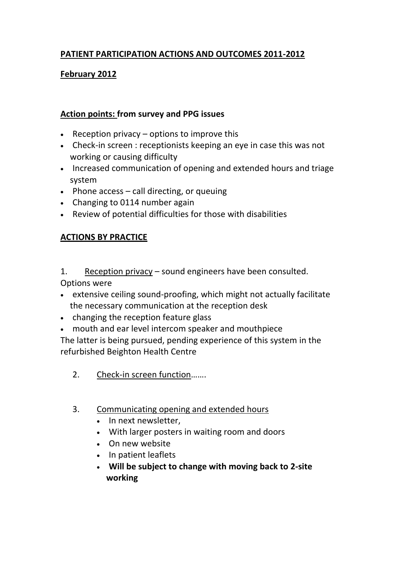## **PATIENT PARTICIPATION ACTIONS AND OUTCOMES 2011-2012**

## **February 2012**

## **Action points: from survey and PPG issues**

- **•** Reception privacy  $-$  options to improve this
- Check-in screen : receptionists keeping an eye in case this was not working or causing difficulty
- Increased communication of opening and extended hours and triage system
- $\bullet$  Phone access call directing, or queuing
- Changing to 0114 number again
- Review of potential difficulties for those with disabilities

## **ACTIONS BY PRACTICE**

1. Reception privacy – sound engineers have been consulted. Options were

- extensive ceiling sound-proofing, which might not actually facilitate the necessary communication at the reception desk
- changing the reception feature glass
- mouth and ear level intercom speaker and mouthpiece

The latter is being pursued, pending experience of this system in the refurbished Beighton Health Centre

- 2. Check-in screen function…….
- 3. Communicating opening and extended hours
	- In next newsletter,
	- With larger posters in waiting room and doors
	- On new website
	- In patient leaflets
	- **Will be subject to change with moving back to 2-site working**